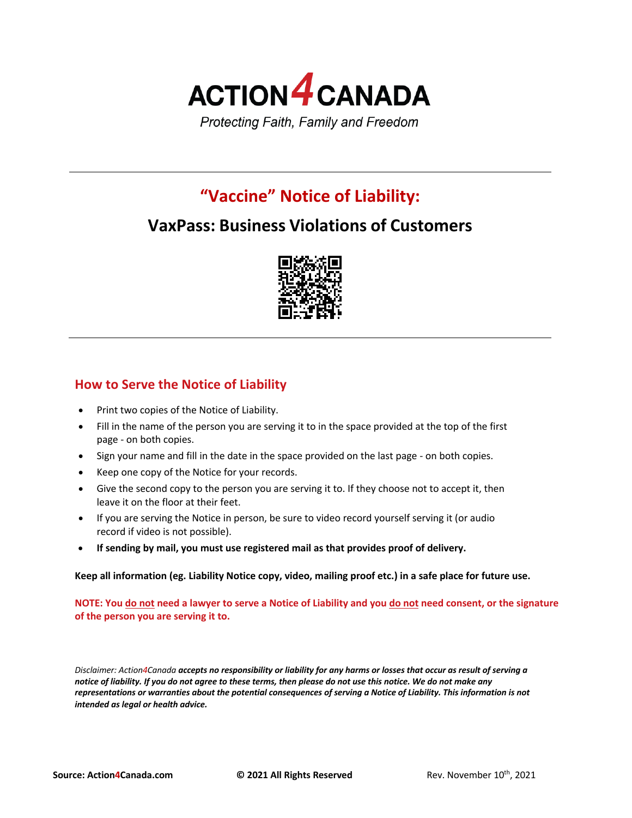

# **"Vaccine" Notice of Liability:**

# **VaxPass: Business Violations of Customers**



# **How to Serve the Notice of Liability**

- Print two copies of the Notice of Liability.
- Fill in the name of the person you are serving it to in the space provided at the top of the first page - on both copies.
- Sign your name and fill in the date in the space provided on the last page on both copies.
- Keep one copy of the Notice for your records.
- Give the second copy to the person you are serving it to. If they choose not to accept it, then leave it on the floor at their feet.
- If you are serving the Notice in person, be sure to video record yourself serving it (or audio record if video is not possible).
- **If sending by mail, you must use registered mail as that provides proof of delivery.**

**Keep all information (eg. Liability Notice copy, video, mailing proof etc.) in a safe place for future use.**

**NOTE: You do not need a lawyer to serve a Notice of Liability and you do not need consent, or the signature of the person you are serving it to.**

*Disclaimer: Action4Canada accepts no responsibility or liability for any harms or losses that occur as result of serving a notice of liability. If you do not agree to these terms, then please do not use this notice. We do not make any representations or warranties about the potential consequences of serving a Notice of Liability. This information is not intended as legal or health advice.*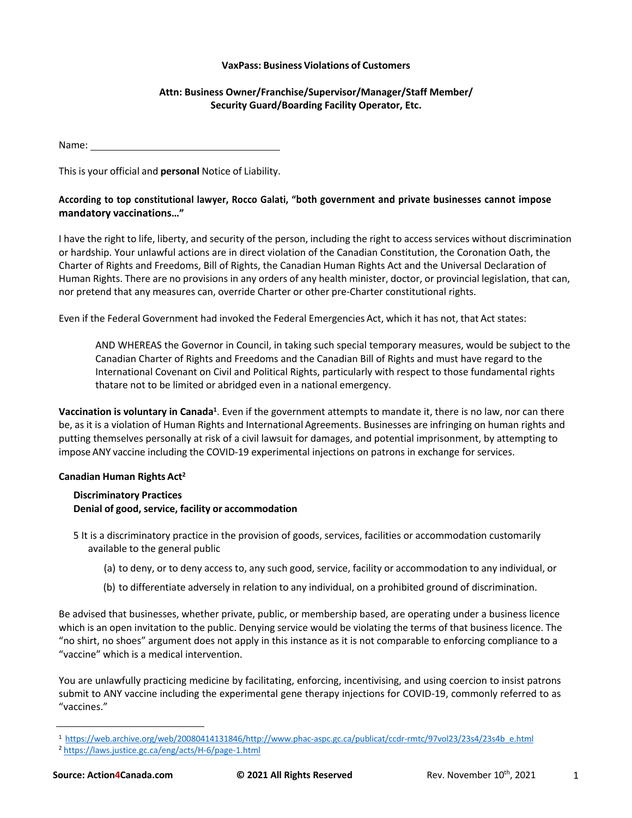#### **VaxPass: Business Violations of Customers**

### **Attn: Business Owner/Franchise/Supervisor/Manager/Staff Member/ Security Guard/Boarding Facility Operator, Etc.**

Name:

This is your official and **personal** Notice of Liability.

## **According to top constitutional lawyer, Rocco Galati, "both government and private businesses cannot impose mandatory vaccinations…"**

I have the right to life, liberty, and security of the person, including the right to access services without discrimination or hardship. Your unlawful actions are in direct violation of the Canadian Constitution, the Coronation Oath, the Charter of Rights and Freedoms, Bill of Rights, the Canadian Human Rights Act and the Universal Declaration of Human Rights. There are no provisions in any orders of any health minister, doctor, or provincial legislation, that can, nor pretend that any measures can, override Charter or other pre-Charter constitutional rights.

Even if the Federal Government had invoked the Federal Emergencies Act, which it has not, that Act states:

AND WHEREAS the Governor in Council, in taking such special temporary measures, would be subject to the Canadian Charter of Rights and Freedoms and the Canadian Bill of Rights and must have regard to the International Covenant on Civil and Political Rights, particularly with respect to those fundamental rights thatare not to be limited or abridged even in a national emergency.

**Vaccination is voluntary in Canada1**. Even if the government attempts to mandate it, there is no law, nor can there be, as it is a violation of Human Rights and International Agreements. Businesses are infringing on human rights and putting themselves personally at risk of a civil lawsuit for damages, and potential imprisonment, by attempting to impose ANY vaccine including the COVID-19 experimental injections on patrons in exchange for services.

### **Canadian Human Rights Act2**

### **Discriminatory Practices Denial of good, service, facility or accommodation**

- 5 It is a discriminatory practice in the provision of goods, services, facilities or accommodation customarily available to the general public
	- (a) to deny, or to deny access to, any such good, service, facility or accommodation to any individual, or
	- (b) to differentiate adversely in relation to any individual, on a prohibited ground of discrimination.

Be advised that businesses, whether private, public, or membership based, are operating under a business licence which is an open invitation to the public. Denying service would be violating the terms of that business licence. The "no shirt, no shoes" argument does not apply in this instance as it is not comparable to enforcing compliance to a "vaccine" which is a medical intervention.

You are unlawfully practicing medicine by facilitating, enforcing, incentivising, and using coercion to insist patrons submit to ANY vaccine including the experimental gene therapy injections for COVID-19, commonly referred to as "vaccines."

<sup>1</sup> https://web.archive.org/web/20080414131846/http://www.phac-aspc.gc.ca/publicat/ccdr-rmtc/97vol23/23s4/23s4b\_e.html

<sup>2</sup> https://laws.justice.gc.ca/eng/acts/H-6/page-1.html